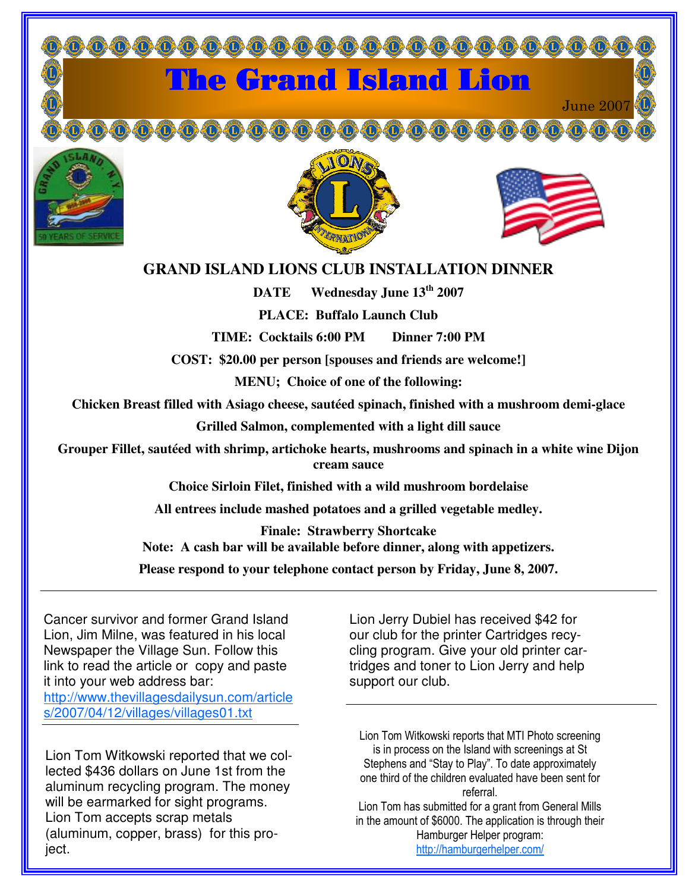

## **GRAND ISLAND LIONS CLUB INSTALLATION DINNER**

**DATE Wednesday June 13 th 2007**

**PLACE: Buffalo Launch Club**

**TIME: Cocktails 6:00 PM Dinner 7:00 PM**

**COST: \$20.00 per person [spouses and friends are welcome!]**

**MENU; Choice of one of the following:**

**Chicken Breast filled with Asiago cheese, sautéed spinach, finished with a mushroom demi-glace**

**Grilled Salmon, complemented with a light dill sauce**

**Grouper Fillet, sautéed with shrimp, artichoke hearts, mushrooms and spinach in a white wine Dijon cream sauce**

**Choice Sirloin Filet, finished with a wild mushroom bordelaise**

**All entrees include mashed potatoes and a grilled vegetable medley.**

**Finale: Strawberry Shortcake Note: A cash bar will be available before dinner, along with appetizers.**

**Please respond to your telephone contact person by Friday, June 8, 2007.**

Cancer survivor and former Grand Island Lion, Jim Milne, was featured in his local Newspaper the Village Sun. Follow this link to read the article or copy and paste it into your web address bar: http://www.thevillagesdailysun.com/article s/2007/04/12/villages/villages01.txt

Lion Tom Witkowski reported that we collected \$436 dollars on June 1st from the aluminum recycling program. The money will be earmarked for sight programs. Lion Tom accepts scrap metals (aluminum, copper, brass) for this project.

Lion Jerry Dubiel has received \$42 for our club for the printer Cartridges recycling program. Give your old printer cartridges and toner to Lion Jerry and help support our club.

Lion Tom Witkowski reports that MTI Photo screening -s in process on the Island with screenings at St Stephens and "Stay to Play". To date approximately one third of the children evaluated have been sent for referral

Lion Tom has submitted for a grant from General Mills n the amount of \$6000. The application is through their Hamburger Helper program: http://hamburgerhelper.com/